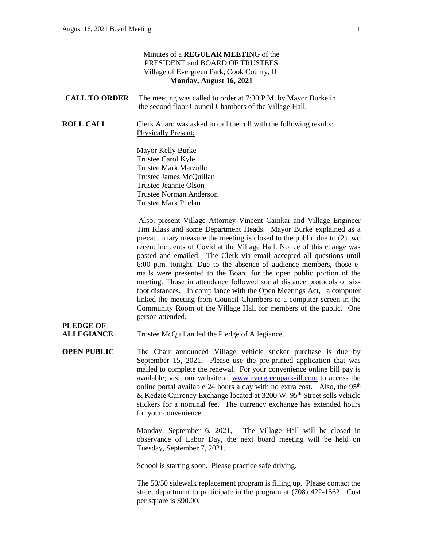#### Minutes of a **REGULAR MEETIN**G of the PRESIDENT and BOARD OF TRUSTEES Village of Evergreen Park, Cook County, IL **Monday, August 16, 2021 CALL TO ORDER** The meeting was called to order at 7:30 P.M. by Mayor Burke in the second floor Council Chambers of the Village Hall. **ROLL CALL** Clerk Aparo was asked to call the roll with the following results: Physically Present: Mayor Kelly Burke Trustee Carol Kyle Trustee Mark Marzullo Trustee James McQuillan Trustee Jeannie Olson Trustee Norman Anderson Trustee Mark Phelan Also, present Village Attorney Vincent Cainkar and Village Engineer Tim Klass and some Department Heads. Mayor Burke explained as a precautionary measure the meeting is closed to the public due to (2) two recent incidents of Covid at the Village Hall. Notice of this change was posted and emailed. The Clerk via email accepted all questions until 6:00 p.m. tonight. Due to the absence of audience members, those emails were presented to the Board for the open public portion of the meeting. Those in attendance followed social distance protocols of sixfoot distances. In compliance with the Open Meetings Act, a computer linked the meeting from Council Chambers to a computer screen in the Community Room of the Village Hall for members of the public. One person attended. **PLEDGE OF ALLEGIANCE** Trustee McQuillan led the Pledge of Allegiance. **OPEN PUBLIC** The Chair announced Village vehicle sticker purchase is due by September 15, 2021. Please use the pre-printed application that was

mailed to complete the renewal. For your convenience online bill pay is available; visit our website at [www.evergreenpark-ill.com](http://www.evergreenpark-ill.com/) to access the online portal available 24 hours a day with no extra cost. Also, the  $95<sup>th</sup>$ & Kedzie Currency Exchange located at 3200 W. 95th Street sells vehicle stickers for a nominal fee. The currency exchange has extended hours for your convenience.

> Monday, September 6, 2021, - The Village Hall will be closed in observance of Labor Day, the next board meeting will be held on Tuesday, September 7, 2021.

School is starting soon. Please practice safe driving.

The 50/50 sidewalk replacement program is filling up. Please contact the street department to participate in the program at (708) 422-1562. Cost per square is \$90.00.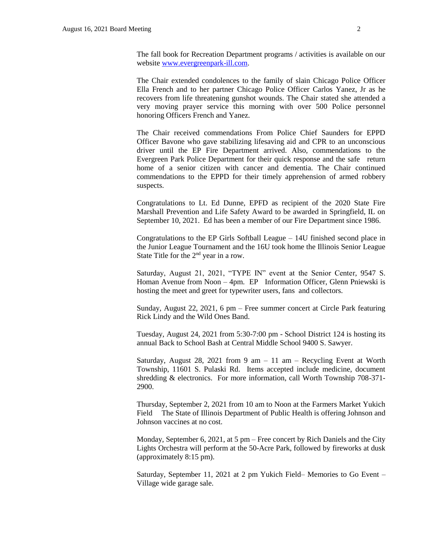The fall book for Recreation Department programs / activities is available on our website [www.evergreenpark-ill.com.](http://www.evergreenpark-ill.com/)

The Chair extended condolences to the family of slain Chicago Police Officer Ella French and to her partner Chicago Police Officer Carlos Yanez, Jr as he recovers from life threatening gunshot wounds. The Chair stated she attended a very moving prayer service this morning with over 500 Police personnel honoring Officers French and Yanez.

The Chair received commendations From Police Chief Saunders for EPPD Officer Bavone who gave stabilizing lifesaving aid and CPR to an unconscious driver until the EP Fire Department arrived. Also, commendations to the Evergreen Park Police Department for their quick response and the safe return home of a senior citizen with cancer and dementia. The Chair continued commendations to the EPPD for their timely apprehension of armed robbery suspects.

Congratulations to Lt. Ed Dunne, EPFD as recipient of the 2020 State Fire Marshall Prevention and Life Safety Award to be awarded in Springfield, IL on September 10, 2021. Ed has been a member of our Fire Department since 1986.

Congratulations to the EP Girls Softball League – 14U finished second place in the Junior League Tournament and the 16U took home the Illinois Senior League State Title for the 2nd year in a row.

Saturday, August 21, 2021, "TYPE IN" event at the Senior Center, 9547 S. Homan Avenue from Noon – 4pm. EP Information Officer, Glenn Pniewski is hosting the meet and greet for typewriter users, fans and collectors.

Sunday, August 22, 2021, 6 pm – Free summer concert at Circle Park featuring Rick Lindy and the Wild Ones Band.

Tuesday, August 24, 2021 from 5:30-7:00 pm - School District 124 is hosting its annual Back to School Bash at Central Middle School 9400 S. Sawyer.

Saturday, August 28, 2021 from 9 am  $-11$  am  $-$  Recycling Event at Worth Township, 11601 S. Pulaski Rd. Items accepted include medicine, document shredding & electronics. For more information, call Worth Township 708-371- 2900.

Thursday, September 2, 2021 from 10 am to Noon at the Farmers Market Yukich Field The State of Illinois Department of Public Health is offering Johnson and Johnson vaccines at no cost.

Monday, September 6, 2021, at 5 pm – Free concert by Rich Daniels and the City Lights Orchestra will perform at the 50-Acre Park, followed by fireworks at dusk (approximately 8:15 pm).

Saturday, September 11, 2021 at 2 pm Yukich Field– Memories to Go Event – Village wide garage sale.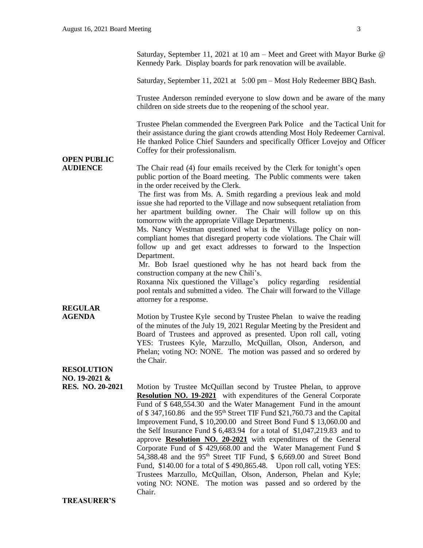Saturday, September 11, 2021 at 10 am – Meet and Greet with Mayor Burke @ Kennedy Park. Display boards for park renovation will be available.

Saturday, September 11, 2021 at 5:00 pm – Most Holy Redeemer BBQ Bash.

Trustee Anderson reminded everyone to slow down and be aware of the many children on side streets due to the reopening of the school year.

Trustee Phelan commended the Evergreen Park Police and the Tactical Unit for their assistance during the giant crowds attending Most Holy Redeemer Carnival. He thanked Police Chief Saunders and specifically Officer Lovejoy and Officer Coffey for their professionalism.

# **OPEN PUBLIC**

**AUDIENCE** The Chair read (4) four emails received by the Clerk for tonight's open public portion of the Board meeting. The Public comments were taken in the order received by the Clerk.

> The first was from Ms. A. Smith regarding a previous leak and mold issue she had reported to the Village and now subsequent retaliation from her apartment building owner. The Chair will follow up on this tomorrow with the appropriate Village Departments.

> Ms. Nancy Westman questioned what is the Village policy on noncompliant homes that disregard property code violations. The Chair will follow up and get exact addresses to forward to the Inspection Department.

> Mr. Bob Israel questioned why he has not heard back from the construction company at the new Chili's.

> Roxanna Nix questioned the Village's policy regarding residential pool rentals and submitted a video. The Chair will forward to the Village attorney for a response.

## **REGULAR**

**AGENDA** Motion by Trustee Kyle second by Trustee Phelan to waive the reading of the minutes of the July 19, 2021 Regular Meeting by the President and Board of Trustees and approved as presented. Upon roll call, voting YES: Trustees Kyle, Marzullo, McQuillan, Olson, Anderson, and Phelan; voting NO: NONE. The motion was passed and so ordered by the Chair.

## **RESOLUTION NO. 19-2021 &**

**RES. NO. 20-2021** Motion by Trustee McQuillan second by Trustee Phelan, to approve **Resolution NO. 19-2021** with expenditures of the General Corporate Fund of \$ 648,554.30 and the Water Management Fund in the amount of \$347,160.86 and the 95<sup>th</sup> Street TIF Fund \$21,760.73 and the Capital Improvement Fund, \$ 10,200.00 and Street Bond Fund \$ 13,060.00 and the Self Insurance Fund \$ 6,483.94 for a total of \$1,047,219.83 and to approve **Resolution NO. 20-2021** with expenditures of the General Corporate Fund of \$ 429,668.00 and the Water Management Fund \$ 54,388.48 and the  $95<sup>th</sup>$  Street TIF Fund, \$ 6,669.00 and Street Bond Fund, \$140.00 for a total of \$ 490,865.48. Upon roll call, voting YES: Trustees Marzullo, McQuillan, Olson, Anderson, Phelan and Kyle; voting NO: NONE. The motion was passed and so ordered by the Chair.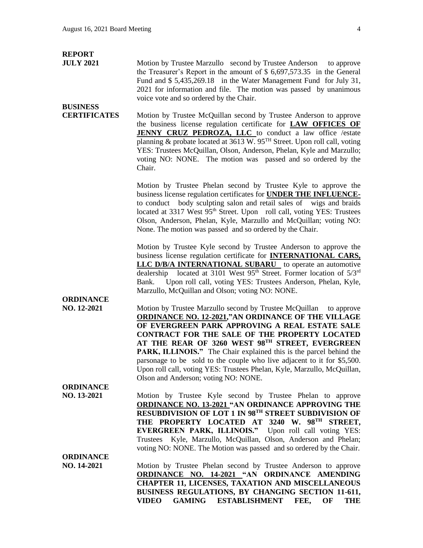| <b>REPORT</b>                   |                                                                                                                                                                                                                                                                                                                                                                                                                                                                                                                         |
|---------------------------------|-------------------------------------------------------------------------------------------------------------------------------------------------------------------------------------------------------------------------------------------------------------------------------------------------------------------------------------------------------------------------------------------------------------------------------------------------------------------------------------------------------------------------|
| <b>JULY 2021</b>                | Motion by Trustee Marzullo second by Trustee Anderson to approve<br>the Treasurer's Report in the amount of \$ 6,697,573.35 in the General<br>Fund and \$5,435,269.18 in the Water Management Fund for July 31,<br>2021 for information and file. The motion was passed by unanimous<br>voice vote and so ordered by the Chair.                                                                                                                                                                                         |
| <b>BUSINESS</b>                 |                                                                                                                                                                                                                                                                                                                                                                                                                                                                                                                         |
| <b>CERTIFICATES</b>             | Motion by Trustee McQuillan second by Trustee Anderson to approve<br>the business license regulation certificate for LAW OFFICES OF<br><b>JENNY CRUZ PEDROZA, LLC</b> to conduct a law office /estate<br>planning & probate located at 3613 W. 95TH Street. Upon roll call, voting<br>YES: Trustees McQuillan, Olson, Anderson, Phelan, Kyle and Marzullo;<br>voting NO: NONE. The motion was passed and so ordered by the<br>Chair.                                                                                    |
|                                 | Motion by Trustee Phelan second by Trustee Kyle to approve the<br>business license regulation certificates for <b>UNDER THE INFLUENCE-</b><br>to conduct body sculpting salon and retail sales of wigs and braids<br>located at 3317 West 95 <sup>th</sup> Street. Upon roll call, voting YES: Trustees<br>Olson, Anderson, Phelan, Kyle, Marzullo and McQuillan; voting NO:<br>None. The motion was passed and so ordered by the Chair.                                                                                |
|                                 | Motion by Trustee Kyle second by Trustee Anderson to approve the<br>business license regulation certificate for <b>INTERNATIONAL CARS</b> ,<br><b>LLC D/B/A INTERNATIONAL SUBARU</b> to operate an automotive<br>located at 3101 West $95th$ Street. Former location of $5/3rd$<br>dealership<br>Upon roll call, voting YES: Trustees Anderson, Phelan, Kyle,<br>Bank.<br>Marzullo, McQuillan and Olson; voting NO: NONE.                                                                                               |
| <b>ORDINANCE</b><br>NO. 12-2021 | Motion by Trustee Marzullo second by Trustee McQuillan to approve<br><b>ORDINANCE NO. 12-2021,"AN ORDINANCE OF THE VILLAGE</b><br>OF EVERGREEN PARK APPROVING A REAL ESTATE SALE<br><b>CONTRACT FOR THE SALE OF THE PROPERTY LOCATED</b><br>AT THE REAR OF 3260 WEST 98TH STREET, EVERGREEN<br>PARK, ILLINOIS." The Chair explained this is the parcel behind the<br>parsonage to be sold to the couple who live adjacent to it for \$5,500.<br>Upon roll call, voting YES: Trustees Phelan, Kyle, Marzullo, McQuillan, |
|                                 | Olson and Anderson; voting NO: NONE.                                                                                                                                                                                                                                                                                                                                                                                                                                                                                    |
| <b>ORDINANCE</b><br>NO. 13-2021 | Motion by Trustee Kyle second by Trustee Phelan to approve<br><b>ORDINANCE NO. 13-2021 "AN ORDINANCE APPROVING THE</b><br>RESUBDIVISION OF LOT 1 IN 98TH STREET SUBDIVISION OF<br>THE PROPERTY LOCATED AT 3240 W. 98TH STREET,<br>EVERGREEN PARK, ILLINOIS." Upon roll call voting YES:<br>Kyle, Marzullo, McQuillan, Olson, Anderson and Phelan;<br>Trustees<br>voting NO: NONE. The Motion was passed and so ordered by the Chair.                                                                                    |
| <b>ORDINANCE</b>                |                                                                                                                                                                                                                                                                                                                                                                                                                                                                                                                         |
| NO. 14-2021                     | Motion by Trustee Phelan second by Trustee Anderson to approve<br><b>ORDINANCE NO. 14-2021 "AN ORDINANCE AMENDING</b><br><b>CHAPTER 11, LICENSES, TAXATION AND MISCELLANEOUS</b>                                                                                                                                                                                                                                                                                                                                        |
|                                 | BUSINESS REGULATIONS, BY CHANGING SECTION 11-611,                                                                                                                                                                                                                                                                                                                                                                                                                                                                       |
|                                 | GAMING ESTABLISHMENT FEE,<br><b>VIDEO</b><br>OF<br>THE                                                                                                                                                                                                                                                                                                                                                                                                                                                                  |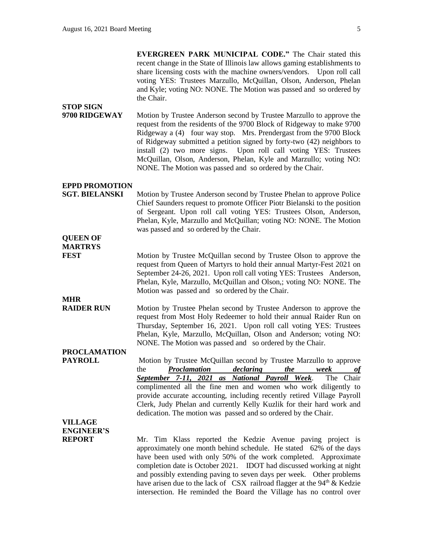**EVERGREEN PARK MUNICIPAL CODE."** The Chair stated this recent change in the State of Illinois law allows gaming establishments to share licensing costs with the machine owners/vendors. Upon roll call voting YES: Trustees Marzullo, McQuillan, Olson, Anderson, Phelan and Kyle; voting NO: NONE. The Motion was passed and so ordered by the Chair.

**STOP SIGN 9700 RIDGEWAY** Motion by Trustee Anderson second by Trustee Marzullo to approve the request from the residents of the 9700 Block of Ridgeway to make 9700 Ridgeway a (4) four way stop. Mrs. Prendergast from the 9700 Block of Ridgeway submitted a petition signed by forty-two (42) neighbors to install (2) two more signs. Upon roll call voting YES: Trustees McQuillan, Olson, Anderson, Phelan, Kyle and Marzullo; voting NO: NONE. The Motion was passed and so ordered by the Chair.

#### **EPPD PROMOTION**

**SGT. BIELANSKI** Motion by Trustee Anderson second by Trustee Phelan to approve Police Chief Saunders request to promote Officer Piotr Bielanski to the position of Sergeant. Upon roll call voting YES: Trustees Olson, Anderson, Phelan, Kyle, Marzullo and McQuillan; voting NO: NONE. The Motion was passed and so ordered by the Chair.

**QUEEN OF MARTRYS**

**FEST** Motion by Trustee McQuillan second by Trustee Olson to approve the request from Queen of Martyrs to hold their annual Martyr-Fest 2021 on September 24-26, 2021. Upon roll call voting YES: Trustees Anderson, Phelan, Kyle, Marzullo, McQuillan and Olson,; voting NO: NONE. The Motion was passed and so ordered by the Chair.

**MHR** 

**RAIDER RUN** Motion by Trustee Phelan second by Trustee Anderson to approve the request from Most Holy Redeemer to hold their annual Raider Run on Thursday, September 16, 2021. Upon roll call voting YES: Trustees Phelan, Kyle, Marzullo, McQuillan, Olson and Anderson; voting NO: NONE. The Motion was passed and so ordered by the Chair.

## **PROCLAMATION**

**PAYROLL** Motion by Trustee McQuillan second by Trustee Marzullo to approve the *Proclamation declaring the week of September 7-11, 2021 as National Payroll Week*. The Chair complimented all the fine men and women who work diligently to provide accurate accounting, including recently retired Village Payroll Clerk, Judy Phelan and currently Kelly Kuzlik for their hard work and dedication. The motion was passed and so ordered by the Chair.

## **VILLAGE ENGINEER'S**

**REPORT** Mr. Tim Klass reported the Kedzie Avenue paving project is approximately one month behind schedule. He stated 62% of the days have been used with only 50% of the work completed. Approximate completion date is October 2021. IDOT had discussed working at night and possibly extending paving to seven days per week. Other problems have arisen due to the lack of  $CSX$  railroad flagger at the 94<sup>th</sup>  $\&$  Kedzie intersection. He reminded the Board the Village has no control over